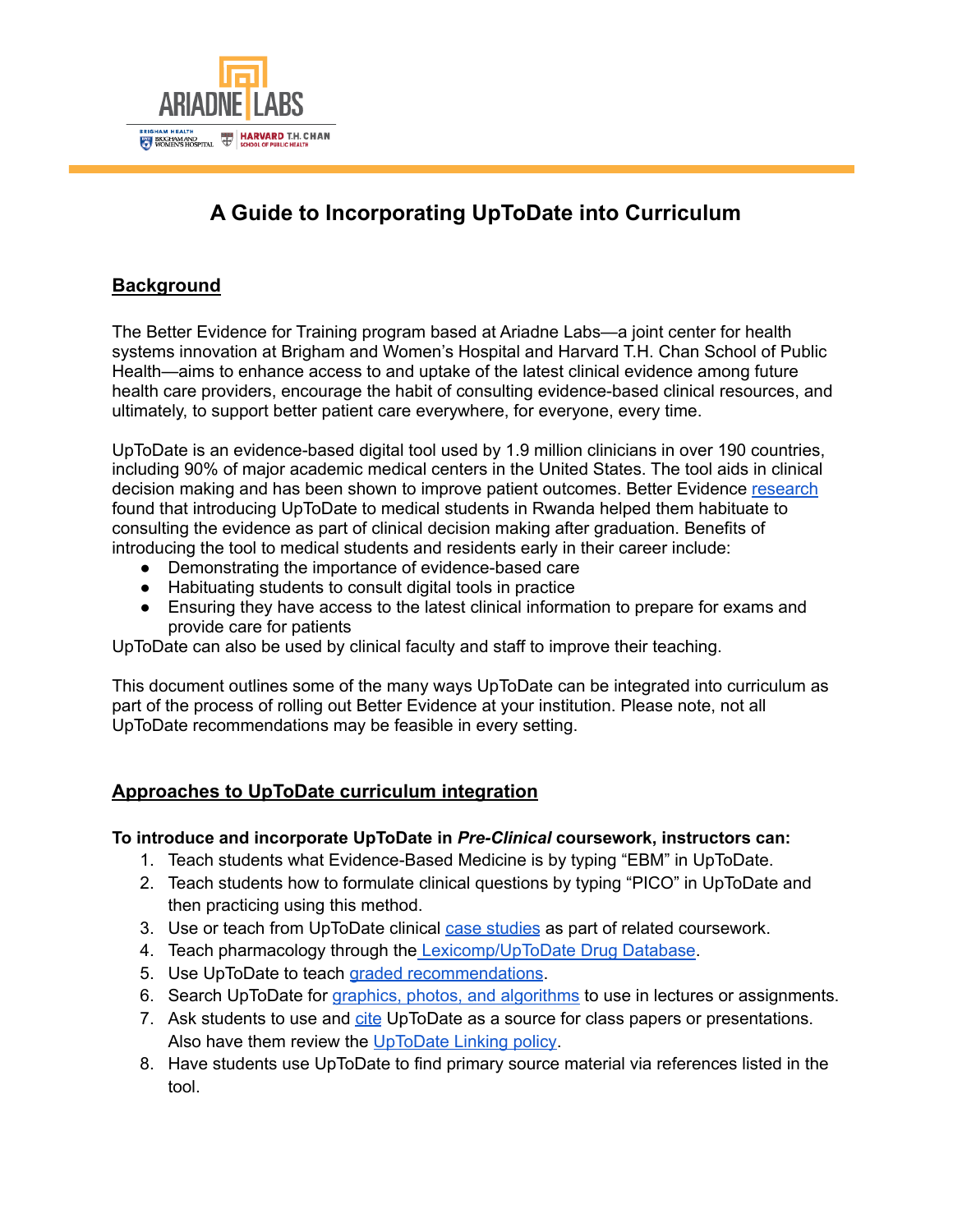

# **A Guide to Incorporating UpToDate into Curriculum**

## **Background**

The Better Evidence for Training program based at Ariadne Labs—a joint center for health systems innovation at Brigham and Women's Hospital and Harvard T.H. Chan School of Public Health—aims to enhance access to and uptake of the latest clinical evidence among future health care providers, encourage the habit of consulting evidence-based clinical resources, and ultimately, to support better patient care everywhere, for everyone, every time.

UpToDate is an evidence-based digital tool used by 1.9 million clinicians in over 190 countries, including 90% of major academic medical centers in the United States. The tool aids in clinical decision making and has been shown to improve patient outcomes. Better Evidence [research](https://www.ariadnelabs.org/areas-of-work/better-evidence/research/) found that introducing UpToDate to medical students in Rwanda helped them habituate to consulting the evidence as part of clinical decision making after graduation. Benefits of introducing the tool to medical students and residents early in their career include:

- Demonstrating the importance of evidence-based care
- Habituating students to consult digital tools in practice
- Ensuring they have access to the latest clinical information to prepare for exams and provide care for patients

UpToDate can also be used by clinical faculty and staff to improve their teaching.

This document outlines some of the many ways UpToDate can be integrated into curriculum as part of the process of rolling out Better Evidence at your institution. Please note, not all UpToDate recommendations may be feasible in every setting.

### **Approaches to UpToDate curriculum integration**

#### **To introduce and incorporate UpToDate in** *Pre-Clinical* **coursework, instructors can:**

- 1. Teach students what Evidence-Based Medicine is by typing "EBM" in UpToDate.
- 2. Teach students how to formulate clinical questions by typing "PICO" in UpToDate and then practicing using this method.
- 3. Use or teach from UpToDate clinical case [studies](https://drive.google.com/drive/folders/1yLVOQOCsBTVIo9RXN88fxds0pMOHTPDi?usp=sharing) as part of related coursework.
- 4. Teach pharmacology through the [Lexicomp/UpToDate](https://www.uptodate.com/home/uptodate-drug-database) Drug Database.
- 5. Use UpToDate to teach graded [recommendations](https://www.uptodate.com/home/uptodate-graded-recommendations).
- 6. Search UpToDate for graphics, photos, and [algorithms](https://www.uptodate.com/home/uptodate-graphics) to use in lectures or assignments.
- 7. Ask students to use and [cite](https://www.uptodate.com/home/how-use-uptodate-presentation) UpToDate as a source for class papers or presentations. Also have them review the [UpToDate](https://www.uptodate.com/home/linking-policy) Linking policy.
- 8. Have students use UpToDate to find primary source material via references listed in the tool.